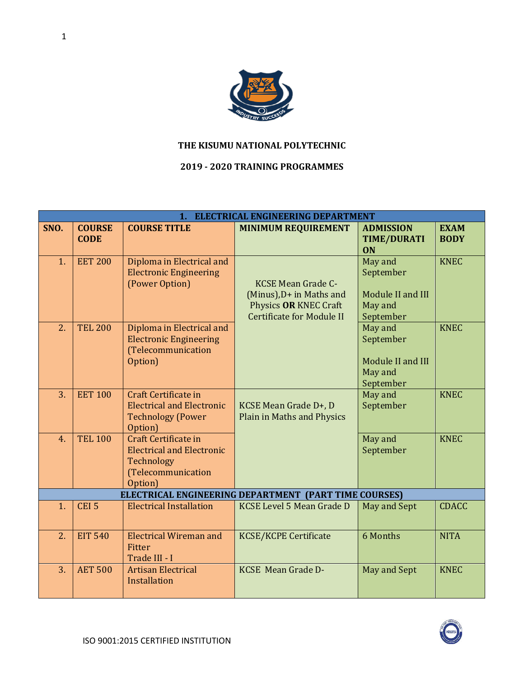

## **THE KISUMU NATIONAL POLYTECHNIC**

## **2019 - 2020 TRAINING PROGRAMMES**

|      |                              |                                                                                                         | 1. ELECTRICAL ENGINEERING DEPARTMENT                                                                               |                                                                   |                            |
|------|------------------------------|---------------------------------------------------------------------------------------------------------|--------------------------------------------------------------------------------------------------------------------|-------------------------------------------------------------------|----------------------------|
| SNO. | <b>COURSE</b><br><b>CODE</b> | <b>COURSE TITLE</b>                                                                                     | <b>MINIMUM REQUIREMENT</b>                                                                                         | <b>ADMISSION</b><br><b>TIME/DURATI</b><br><b>ON</b>               | <b>EXAM</b><br><b>BODY</b> |
| 1.   | <b>EET 200</b>               | Diploma in Electrical and<br><b>Electronic Engineering</b><br>(Power Option)                            | <b>KCSE Mean Grade C-</b><br>(Minus), D+ in Maths and<br>Physics OR KNEC Craft<br><b>Certificate for Module II</b> | May and<br>September<br>Module II and III<br>May and<br>September | <b>KNEC</b>                |
| 2.   | <b>TEL 200</b>               | Diploma in Electrical and<br><b>Electronic Engineering</b><br>(Telecommunication<br>Option)             |                                                                                                                    | May and<br>September<br>Module II and III<br>May and<br>September | <b>KNEC</b>                |
| 3.   | <b>EET 100</b>               | Craft Certificate in<br><b>Electrical and Electronic</b><br><b>Technology (Power</b><br>Option)         | KCSE Mean Grade D+, D<br><b>Plain in Maths and Physics</b>                                                         | May and<br>September                                              | <b>KNEC</b>                |
| 4.   | <b>TEL 100</b>               | Craft Certificate in<br><b>Electrical and Electronic</b><br>Technology<br>(Telecommunication<br>Option) |                                                                                                                    | May and<br>September                                              | <b>KNEC</b>                |
|      |                              |                                                                                                         | ELECTRICAL ENGINEERING DEPARTMENT (PART TIME COURSES)                                                              |                                                                   |                            |
| 1.   | CEI <sub>5</sub>             | <b>Electrical Installation</b>                                                                          | <b>KCSE Level 5 Mean Grade D</b>                                                                                   | <b>May and Sept</b>                                               | <b>CDACC</b>               |
| 2.   | <b>EIT 540</b>               | <b>Electrical Wireman and</b><br>Fitter<br>Trade III - I                                                | <b>KCSE/KCPE Certificate</b>                                                                                       | 6 Months                                                          | <b>NITA</b>                |
| 3.   | <b>AET 500</b>               | <b>Artisan Electrical</b><br>Installation                                                               | <b>KCSE</b> Mean Grade D-                                                                                          | May and Sept                                                      | <b>KNEC</b>                |

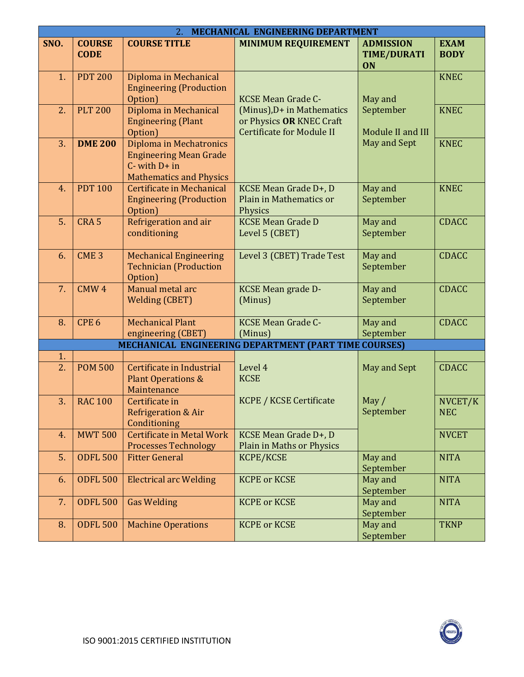| MECHANICAL ENGINEERING DEPARTMENT<br>2. |                              |                                                                                                                  |                                                                                            |                                              |                            |
|-----------------------------------------|------------------------------|------------------------------------------------------------------------------------------------------------------|--------------------------------------------------------------------------------------------|----------------------------------------------|----------------------------|
| SNO.                                    | <b>COURSE</b><br><b>CODE</b> | <b>COURSE TITLE</b>                                                                                              | <b>MINIMUM REQUIREMENT</b>                                                                 | <b>ADMISSION</b><br><b>TIME/DURATI</b><br>ON | <b>EXAM</b><br><b>BODY</b> |
| 1.                                      | <b>PDT 200</b>               | Diploma in Mechanical<br><b>Engineering (Production</b><br>Option)                                               | <b>KCSE Mean Grade C-</b>                                                                  | May and                                      | <b>KNEC</b>                |
| 2.                                      | <b>PLT 200</b>               | Diploma in Mechanical<br><b>Engineering (Plant</b><br>Option)                                                    | (Minus), D+ in Mathematics<br>or Physics OR KNEC Craft<br><b>Certificate for Module II</b> | September<br>Module II and III               | <b>KNEC</b>                |
| 3.                                      | <b>DME 200</b>               | Diploma in Mechatronics<br><b>Engineering Mean Grade</b><br>$C$ - with $D+$ in<br><b>Mathematics and Physics</b> |                                                                                            | May and Sept                                 | <b>KNEC</b>                |
| 4.                                      | <b>PDT 100</b>               | Certificate in Mechanical<br><b>Engineering (Production</b><br>Option)                                           | KCSE Mean Grade D+, D<br>Plain in Mathematics or<br>Physics                                | May and<br>September                         | <b>KNEC</b>                |
| 5.                                      | CRA <sub>5</sub>             | Refrigeration and air<br>conditioning                                                                            | <b>KCSE Mean Grade D</b><br>Level 5 (CBET)                                                 | May and<br>September                         | <b>CDACC</b>               |
| 6.                                      | CME <sub>3</sub>             | <b>Mechanical Engineering</b><br><b>Technician (Production</b><br>Option)                                        | Level 3 (CBET) Trade Test                                                                  | May and<br>September                         | <b>CDACC</b>               |
| 7.                                      | CMW <sub>4</sub>             | Manual metal arc<br><b>Welding (CBET)</b>                                                                        | <b>KCSE Mean grade D-</b><br>(Minus)                                                       | May and<br>September                         | <b>CDACC</b>               |
| 8.                                      | CPE <sub>6</sub>             | <b>Mechanical Plant</b><br>engineering (CBET)                                                                    | <b>KCSE Mean Grade C-</b><br>(Minus)                                                       | May and<br>September                         | <b>CDACC</b>               |
|                                         |                              |                                                                                                                  | MECHANICAL ENGINEERING DEPARTMENT (PART TIME COURSES)                                      |                                              |                            |
| 1.<br>2.                                | <b>POM 500</b>               | Certificate in Industrial<br><b>Plant Operations &amp;</b><br>Maintenance                                        | Level 4<br><b>KCSE</b>                                                                     | May and Sept                                 | <b>CDACC</b>               |
| 3.                                      | <b>RAC 100</b>               | Certificate in<br><b>Refrigeration &amp; Air</b><br>Conditioning                                                 | KCPE / KCSE Certificate                                                                    | May $/$<br>September                         | NVCET/K<br><b>NEC</b>      |
| 4.                                      | <b>MWT 500</b>               | Certificate in Metal Work<br><b>Processes Technology</b>                                                         | KCSE Mean Grade D+, D<br>Plain in Maths or Physics                                         |                                              | <b>NVCET</b>               |
| 5.                                      | <b>ODFL 500</b>              | <b>Fitter General</b>                                                                                            | KCPE/KCSE                                                                                  | May and<br>September                         | <b>NITA</b>                |
| 6.                                      | <b>ODFL 500</b>              | <b>Electrical arc Welding</b>                                                                                    | <b>KCPE or KCSE</b>                                                                        | May and<br>September                         | <b>NITA</b>                |
| 7.                                      | <b>ODFL 500</b>              | <b>Gas Welding</b>                                                                                               | <b>KCPE or KCSE</b>                                                                        | May and<br>September                         | <b>NITA</b>                |
| 8.                                      | <b>ODFL 500</b>              | <b>Machine Operations</b>                                                                                        | <b>KCPE or KCSE</b>                                                                        | May and<br>September                         | <b>TKNP</b>                |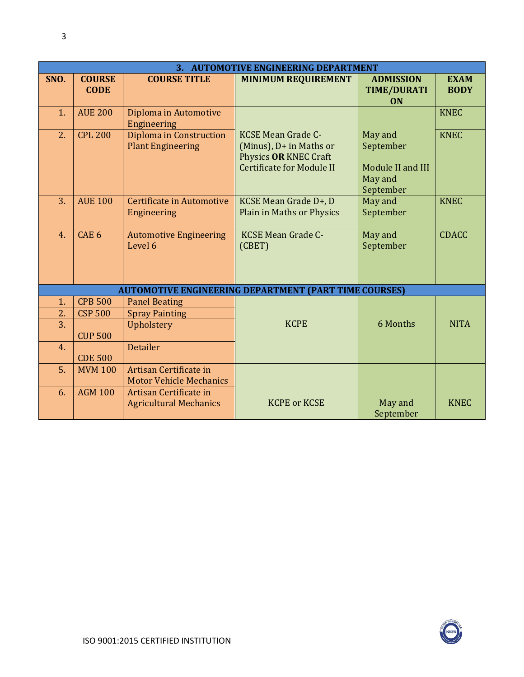|      |                              |                                                          | 3. AUTOMOTIVE ENGINEERING DEPARTMENT                                                                              |                                                                   |                            |
|------|------------------------------|----------------------------------------------------------|-------------------------------------------------------------------------------------------------------------------|-------------------------------------------------------------------|----------------------------|
| SNO. | <b>COURSE</b><br><b>CODE</b> | <b>COURSE TITLE</b>                                      | <b>MINIMUM REQUIREMENT</b>                                                                                        | <b>ADMISSION</b><br><b>TIME/DURATI</b><br><b>ON</b>               | <b>EXAM</b><br><b>BODY</b> |
| 1.   | <b>AUE 200</b>               | Diploma in Automotive<br>Engineering                     |                                                                                                                   |                                                                   | <b>KNEC</b>                |
| 2.   | <b>CPL 200</b>               | Diploma in Construction<br><b>Plant Engineering</b>      | <b>KCSE Mean Grade C-</b><br>(Minus), D+ in Maths or<br>Physics OR KNEC Craft<br><b>Certificate for Module II</b> | May and<br>September<br>Module II and III<br>May and<br>September | <b>KNEC</b>                |
| 3.   | <b>AUE 100</b>               | <b>Certificate in Automotive</b><br>Engineering          | KCSE Mean Grade D+, D<br>Plain in Maths or Physics                                                                | May and<br>September                                              | <b>KNEC</b>                |
| 4.   | CAE <sub>6</sub>             | <b>Automotive Engineering</b><br>Level 6                 | <b>KCSE Mean Grade C-</b><br>(CBET)                                                                               | May and<br>September                                              | <b>CDACC</b>               |
|      |                              |                                                          | <b>AUTOMOTIVE ENGINEERING DEPARTMENT (PART TIME COURSES)</b>                                                      |                                                                   |                            |
| 1.   | <b>CPB 500</b>               | <b>Panel Beating</b>                                     |                                                                                                                   |                                                                   |                            |
| 2.   | <b>CSP 500</b>               | <b>Spray Painting</b>                                    |                                                                                                                   |                                                                   |                            |
| 3.   | <b>CUP 500</b>               | Upholstery                                               | <b>KCPE</b>                                                                                                       | 6 Months                                                          | <b>NITA</b>                |
| 4.   | <b>CDE 500</b>               | <b>Detailer</b>                                          |                                                                                                                   |                                                                   |                            |
| 5.   | <b>MVM 100</b>               | Artisan Certificate in<br><b>Motor Vehicle Mechanics</b> |                                                                                                                   |                                                                   |                            |
| 6.   | <b>AGM 100</b>               | Artisan Certificate in<br><b>Agricultural Mechanics</b>  | <b>KCPE or KCSE</b>                                                                                               | May and<br>September                                              | <b>KNEC</b>                |

 $\bigodot$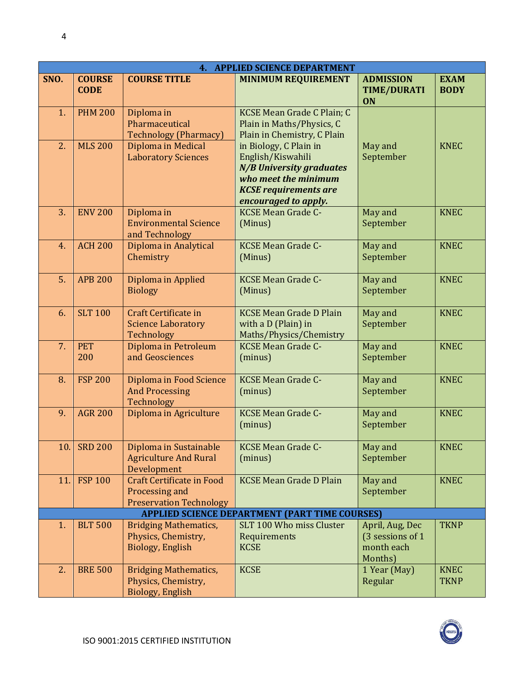|      | <b>APPLIED SCIENCE DEPARTMENT</b><br>4. |                                                                                      |                                                                                                                                                                |                                                              |                            |  |  |
|------|-----------------------------------------|--------------------------------------------------------------------------------------|----------------------------------------------------------------------------------------------------------------------------------------------------------------|--------------------------------------------------------------|----------------------------|--|--|
| SNO. | <b>COURSE</b><br><b>CODE</b>            | <b>COURSE TITLE</b>                                                                  | <b>MINIMUM REQUIREMENT</b>                                                                                                                                     | <b>ADMISSION</b><br><b>TIME/DURATI</b><br><b>ON</b>          | <b>EXAM</b><br><b>BODY</b> |  |  |
| 1.   | <b>PHM 200</b>                          | Diploma in<br>Pharmaceutical<br><b>Technology (Pharmacy)</b>                         | KCSE Mean Grade C Plain; C<br>Plain in Maths/Physics, C<br>Plain in Chemistry, C Plain                                                                         |                                                              |                            |  |  |
| 2.   | <b>MLS 200</b>                          | Diploma in Medical<br><b>Laboratory Sciences</b>                                     | in Biology, C Plain in<br>English/Kiswahili<br><b>N/B University graduates</b><br>who meet the minimum<br><b>KCSE</b> requirements are<br>encouraged to apply. | May and<br>September                                         | <b>KNEC</b>                |  |  |
| 3.   | <b>ENV 200</b>                          | Diploma in<br><b>Environmental Science</b><br>and Technology                         | <b>KCSE Mean Grade C-</b><br>(Minus)                                                                                                                           | May and<br>September                                         | <b>KNEC</b>                |  |  |
| 4.   | <b>ACH 200</b>                          | Diploma in Analytical<br>Chemistry                                                   | <b>KCSE Mean Grade C-</b><br>(Minus)                                                                                                                           | May and<br>September                                         | <b>KNEC</b>                |  |  |
| 5.   | <b>APB 200</b>                          | Diploma in Applied<br><b>Biology</b>                                                 | <b>KCSE Mean Grade C-</b><br>(Minus)                                                                                                                           | May and<br>September                                         | <b>KNEC</b>                |  |  |
| 6.   | <b>SLT 100</b>                          | Craft Certificate in<br><b>Science Laboratory</b><br>Technology                      | <b>KCSE Mean Grade D Plain</b><br>with a D (Plain) in<br>Maths/Physics/Chemistry                                                                               | May and<br>September                                         | <b>KNEC</b>                |  |  |
| 7.   | <b>PET</b><br>200                       | Diploma in Petroleum<br>and Geosciences                                              | <b>KCSE Mean Grade C-</b><br>(minus)                                                                                                                           | May and<br>September                                         | <b>KNEC</b>                |  |  |
| 8.   | <b>FSP 200</b>                          | Diploma in Food Science<br><b>And Processing</b><br>Technology                       | <b>KCSE Mean Grade C-</b><br>(minus)                                                                                                                           | May and<br>September                                         | <b>KNEC</b>                |  |  |
| 9.   | <b>AGR 200</b>                          | Diploma in Agriculture                                                               | <b>KCSE Mean Grade C-</b><br>(minus)                                                                                                                           | May and<br>September                                         | <b>KNEC</b>                |  |  |
| 10.  | <b>SRD 200</b>                          | Diploma in Sustainable<br><b>Agriculture And Rural</b><br>Development                | <b>KCSE Mean Grade C-</b><br>(minus)                                                                                                                           | May and<br>September                                         | <b>KNEC</b>                |  |  |
| 11.  | <b>FSP 100</b>                          | <b>Craft Certificate in Food</b><br>Processing and<br><b>Preservation Technology</b> | <b>KCSE Mean Grade D Plain</b>                                                                                                                                 | May and<br>September                                         | <b>KNEC</b>                |  |  |
|      |                                         |                                                                                      | <b>APPLIED SCIENCE DEPARTMENT (PART TIME COURSES)</b>                                                                                                          |                                                              |                            |  |  |
| 1.   | <b>BLT 500</b>                          | <b>Bridging Mathematics,</b><br>Physics, Chemistry,<br><b>Biology, English</b>       | SLT 100 Who miss Cluster<br>Requirements<br><b>KCSE</b>                                                                                                        | April, Aug, Dec<br>(3 sessions of 1<br>month each<br>Months) | <b>TKNP</b>                |  |  |
| 2.   | <b>BRE 500</b>                          | <b>Bridging Mathematics,</b><br>Physics, Chemistry,<br><b>Biology, English</b>       | <b>KCSE</b>                                                                                                                                                    | 1 Year (May)<br>Regular                                      | <b>KNEC</b><br><b>TKNP</b> |  |  |



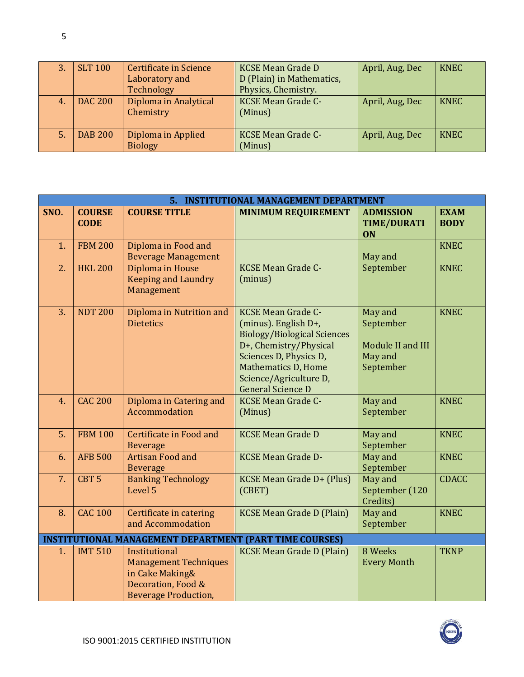| 3. | <b>SLT 100</b> | Certificate in Science<br>Laboratory and<br>Technology | <b>KCSE Mean Grade D</b><br>D (Plain) in Mathematics,<br>Physics, Chemistry. | April, Aug, Dec | <b>KNEC</b> |
|----|----------------|--------------------------------------------------------|------------------------------------------------------------------------------|-----------------|-------------|
| 4. | <b>DAC 200</b> | Diploma in Analytical<br>Chemistry                     | <b>KCSE Mean Grade C-</b><br>(Minus)                                         | April, Aug, Dec | <b>KNEC</b> |
| 5. | <b>DAB 200</b> | Diploma in Applied<br><b>Biology</b>                   | <b>KCSE Mean Grade C-</b><br>(Minus)                                         | April, Aug, Dec | <b>KNEC</b> |

|      | <b>INSTITUTIONAL MANAGEMENT DEPARTMENT</b><br>5.               |                                                                                                                       |                                                                                                                                                                                                                                 |                                                                   |                            |  |  |
|------|----------------------------------------------------------------|-----------------------------------------------------------------------------------------------------------------------|---------------------------------------------------------------------------------------------------------------------------------------------------------------------------------------------------------------------------------|-------------------------------------------------------------------|----------------------------|--|--|
| SNO. | <b>COURSE</b><br><b>CODE</b>                                   | <b>COURSE TITLE</b>                                                                                                   | <b>MINIMUM REQUIREMENT</b>                                                                                                                                                                                                      | <b>ADMISSION</b><br><b>TIME/DURATI</b><br><b>ON</b>               | <b>EXAM</b><br><b>BODY</b> |  |  |
| 1.   | <b>FBM 200</b>                                                 | Diploma in Food and<br><b>Beverage Management</b>                                                                     |                                                                                                                                                                                                                                 | May and                                                           | <b>KNEC</b>                |  |  |
| 2.   | <b>HKL 200</b>                                                 | Diploma in House<br><b>Keeping and Laundry</b><br>Management                                                          | <b>KCSE Mean Grade C-</b><br>(minus)                                                                                                                                                                                            | September                                                         | <b>KNEC</b>                |  |  |
| 3.   | <b>NDT 200</b>                                                 | Diploma in Nutrition and<br><b>Dietetics</b>                                                                          | <b>KCSE Mean Grade C-</b><br>(minus). English D+,<br><b>Biology/Biological Sciences</b><br>D+, Chemistry/Physical<br>Sciences D, Physics D,<br><b>Mathematics D, Home</b><br>Science/Agriculture D,<br><b>General Science D</b> | May and<br>September<br>Module II and III<br>May and<br>September | <b>KNEC</b>                |  |  |
| 4.   | <b>CAC 200</b>                                                 | Diploma in Catering and<br>Accommodation                                                                              | <b>KCSE Mean Grade C-</b><br>(Minus)                                                                                                                                                                                            | May and<br>September                                              | <b>KNEC</b>                |  |  |
| 5.   | <b>FBM 100</b>                                                 | Certificate in Food and<br><b>Beverage</b>                                                                            | <b>KCSE Mean Grade D</b>                                                                                                                                                                                                        | May and<br>September                                              | <b>KNEC</b>                |  |  |
| 6.   | <b>AFB 500</b>                                                 | <b>Artisan Food and</b><br><b>Beverage</b>                                                                            | <b>KCSE Mean Grade D-</b>                                                                                                                                                                                                       | May and<br>September                                              | <b>KNEC</b>                |  |  |
| 7.   | CBT <sub>5</sub>                                               | <b>Banking Technology</b><br>Level 5                                                                                  | KCSE Mean Grade D+ (Plus)<br>(CBET)                                                                                                                                                                                             | May and<br>September (120<br>Credits)                             | <b>CDACC</b>               |  |  |
| 8.   | <b>CAC 100</b>                                                 | Certificate in catering<br>and Accommodation                                                                          | <b>KCSE Mean Grade D (Plain)</b>                                                                                                                                                                                                | May and<br>September                                              | <b>KNEC</b>                |  |  |
|      | <b>INSTITUTIONAL MANAGEMENT DEPARTMENT (PART TIME COURSES)</b> |                                                                                                                       |                                                                                                                                                                                                                                 |                                                                   |                            |  |  |
| 1.   | <b>IMT 510</b>                                                 | Institutional<br><b>Management Techniques</b><br>in Cake Making&<br>Decoration, Food &<br><b>Beverage Production,</b> | <b>KCSE Mean Grade D (Plain)</b>                                                                                                                                                                                                | 8 Weeks<br><b>Every Month</b>                                     | <b>TKNP</b>                |  |  |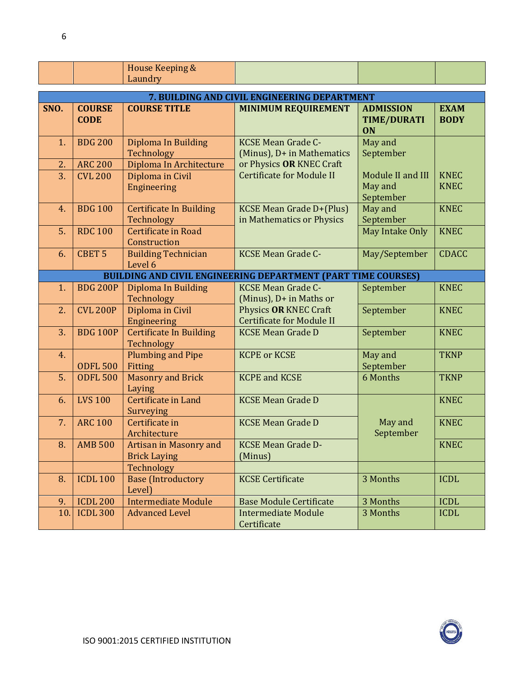|  | House Keeping & |  |  |
|--|-----------------|--|--|
|  | Laundry         |  |  |

|                  | 7. BUILDING AND CIVIL ENGINEERING DEPARTMENT |                                               |                                                                      |                                              |                            |  |  |
|------------------|----------------------------------------------|-----------------------------------------------|----------------------------------------------------------------------|----------------------------------------------|----------------------------|--|--|
| SNO.             | <b>COURSE</b><br><b>CODE</b>                 | <b>COURSE TITLE</b>                           | <b>MINIMUM REQUIREMENT</b>                                           | <b>ADMISSION</b><br><b>TIME/DURATI</b><br>ON | <b>EXAM</b><br><b>BODY</b> |  |  |
| 1.               | <b>BDG 200</b>                               | Diploma In Building<br>Technology             | <b>KCSE Mean Grade C-</b><br>(Minus), D+ in Mathematics              | May and<br>September                         |                            |  |  |
| 2.               | <b>ARC 200</b>                               | Diploma In Architecture                       | or Physics OR KNEC Craft                                             |                                              |                            |  |  |
| 3.               | <b>CVL 200</b>                               | Diploma in Civil<br><b>Engineering</b>        | <b>Certificate for Module II</b>                                     | Module II and III<br>May and<br>September    | <b>KNEC</b><br><b>KNEC</b> |  |  |
| 4.               | <b>BDG 100</b>                               | <b>Certificate In Building</b><br>Technology  | <b>KCSE Mean Grade D+(Plus)</b><br>in Mathematics or Physics         | May and<br>September                         | <b>KNEC</b>                |  |  |
| 5.               | <b>RDC 100</b>                               | Certificate in Road<br>Construction           |                                                                      | May Intake Only                              | <b>KNEC</b>                |  |  |
| 6.               | CBET <sub>5</sub>                            | <b>Building Technician</b><br>Level 6         | <b>KCSE Mean Grade C-</b>                                            | May/September                                | <b>CDACC</b>               |  |  |
|                  |                                              |                                               | <b>BUILDING AND CIVIL ENGINEERING DEPARTMENT (PART TIME COURSES)</b> |                                              |                            |  |  |
| 1.               | <b>BDG 200P</b>                              | Diploma In Building<br>Technology             | <b>KCSE Mean Grade C-</b><br>(Minus), D+ in Maths or                 | September                                    | <b>KNEC</b>                |  |  |
| 2.               | <b>CVL 200P</b>                              | Diploma in Civil<br>Engineering               | Physics OR KNEC Craft<br><b>Certificate for Module II</b>            | September                                    | <b>KNEC</b>                |  |  |
| $\overline{3}$ . | <b>BDG 100P</b>                              | <b>Certificate In Building</b><br>Technology  | <b>KCSE Mean Grade D</b>                                             | September                                    | <b>KNEC</b>                |  |  |
| 4.               | <b>ODFL 500</b>                              | <b>Plumbing and Pipe</b><br>Fitting           | <b>KCPE or KCSE</b>                                                  | May and<br>September                         | <b>TKNP</b>                |  |  |
| 5.               | <b>ODFL 500</b>                              | <b>Masonry and Brick</b><br>Laying            | <b>KCPE and KCSE</b>                                                 | 6 Months                                     | <b>TKNP</b>                |  |  |
| 6.               | <b>LVS 100</b>                               | Certificate in Land<br>Surveying              | <b>KCSE Mean Grade D</b>                                             |                                              | <b>KNEC</b>                |  |  |
| 7.               | <b>ARC 100</b>                               | Certificate in<br>Architecture                | <b>KCSE Mean Grade D</b>                                             | May and<br>September                         | <b>KNEC</b>                |  |  |
| 8.               | <b>AMB 500</b>                               | Artisan in Masonry and<br><b>Brick Laying</b> | <b>KCSE Mean Grade D-</b><br>(Minus)                                 |                                              | <b>KNEC</b>                |  |  |
|                  |                                              | Technology                                    |                                                                      |                                              |                            |  |  |
| 8.               | <b>ICDL 100</b>                              | <b>Base (Introductory</b><br>Level)           | <b>KCSE Certificate</b>                                              | 3 Months                                     | <b>ICDL</b>                |  |  |
| 9.               | <b>ICDL 200</b>                              | <b>Intermediate Module</b>                    | <b>Base Module Certificate</b>                                       | 3 Months                                     | <b>ICDL</b>                |  |  |
| 10               | <b>ICDL 300</b>                              | <b>Advanced Level</b>                         | <b>Intermediate Module</b><br>Certificate                            | 3 Months                                     | <b>ICDL</b>                |  |  |



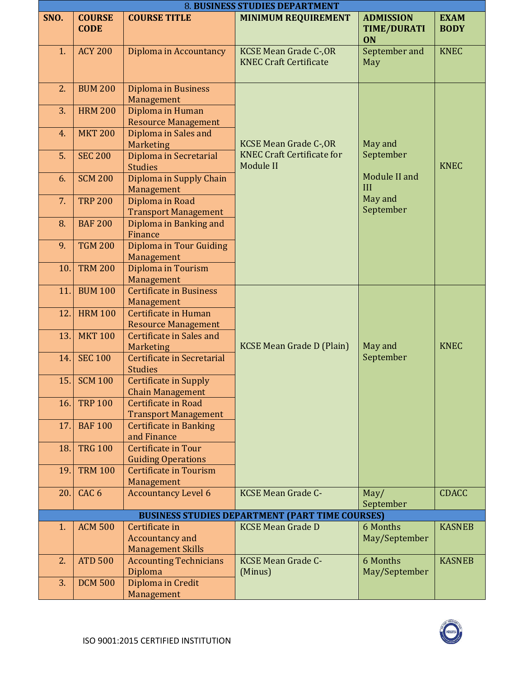|      | 8. BUSINESS STUDIES DEPARTMENT |                                                                      |                                                                |                                                     |                            |  |  |
|------|--------------------------------|----------------------------------------------------------------------|----------------------------------------------------------------|-----------------------------------------------------|----------------------------|--|--|
| SNO. | <b>COURSE</b><br><b>CODE</b>   | <b>COURSE TITLE</b>                                                  | <b>MINIMUM REQUIREMENT</b>                                     | <b>ADMISSION</b><br><b>TIME/DURATI</b><br><b>ON</b> | <b>EXAM</b><br><b>BODY</b> |  |  |
| 1.   | <b>ACY 200</b>                 | Diploma in Accountancy                                               | <b>KCSE Mean Grade C-, OR</b><br><b>KNEC Craft Certificate</b> | September and<br>May                                | <b>KNEC</b>                |  |  |
| 2.   | <b>BUM 200</b>                 | Diploma in Business<br>Management                                    |                                                                |                                                     |                            |  |  |
| 3.   | <b>HRM 200</b>                 | Diploma in Human<br><b>Resource Management</b>                       |                                                                |                                                     |                            |  |  |
| 4.   | <b>MKT 200</b>                 | Diploma in Sales and<br><b>Marketing</b>                             | <b>KCSE Mean Grade C-, OR</b>                                  | May and                                             |                            |  |  |
| 5.   | <b>SEC 200</b>                 | Diploma in Secretarial<br><b>Studies</b>                             | <b>KNEC Craft Certificate for</b><br>Module II                 | September                                           | <b>KNEC</b>                |  |  |
| 6.   | <b>SCM 200</b>                 | Diploma in Supply Chain<br>Management                                |                                                                | Module II and<br>III                                |                            |  |  |
| 7.   | <b>TRP 200</b>                 | Diploma in Road<br><b>Transport Management</b>                       |                                                                | May and<br>September                                |                            |  |  |
| 8.   | <b>BAF 200</b>                 | Diploma in Banking and<br>Finance                                    |                                                                |                                                     |                            |  |  |
| 9.   | <b>TGM 200</b>                 | Diploma in Tour Guiding<br>Management                                |                                                                |                                                     |                            |  |  |
| 10.  | <b>TRM 200</b>                 | Diploma in Tourism<br>Management                                     |                                                                |                                                     |                            |  |  |
| 11.  | <b>BUM 100</b>                 | <b>Certificate in Business</b><br>Management                         |                                                                |                                                     |                            |  |  |
| 12.  | <b>HRM 100</b>                 | Certificate in Human<br><b>Resource Management</b>                   |                                                                |                                                     |                            |  |  |
| 13.  | <b>MKT 100</b>                 | Certificate in Sales and<br>Marketing                                | <b>KCSE Mean Grade D (Plain)</b>                               | May and                                             | <b>KNEC</b>                |  |  |
| 14.  | <b>SEC 100</b>                 | Certificate in Secretarial<br><b>Studies</b>                         |                                                                | September                                           |                            |  |  |
|      | 15. SCM 100                    | Certificate in Supply<br><b>Chain Management</b>                     |                                                                |                                                     |                            |  |  |
| 16.  | <b>TRP 100</b>                 | Certificate in Road<br><b>Transport Management</b>                   |                                                                |                                                     |                            |  |  |
| 17.  | <b>BAF100</b>                  | <b>Certificate in Banking</b><br>and Finance                         |                                                                |                                                     |                            |  |  |
| 18.  | <b>TRG 100</b>                 | <b>Certificate in Tour</b><br><b>Guiding Operations</b>              |                                                                |                                                     |                            |  |  |
| 19.  | <b>TRM 100</b>                 | <b>Certificate in Tourism</b><br>Management                          |                                                                |                                                     |                            |  |  |
| 20.  | CAC <sub>6</sub>               | <b>Accountancy Level 6</b>                                           | <b>KCSE Mean Grade C-</b>                                      | May/<br>September                                   | <b>CDACC</b>               |  |  |
|      |                                |                                                                      | <b>BUSINESS STUDIES DEPARTMENT (PART TIME COURSES)</b>         |                                                     |                            |  |  |
| 1.   | <b>ACM 500</b>                 | Certificate in<br><b>Accountancy and</b><br><b>Management Skills</b> | <b>KCSE Mean Grade D</b>                                       | 6 Months<br>May/September                           | <b>KASNEB</b>              |  |  |
| 2.   | <b>ATD 500</b>                 | <b>Accounting Technicians</b><br>Diploma                             | <b>KCSE Mean Grade C-</b><br>(Minus)                           | 6 Months<br>May/September                           | <b>KASNEB</b>              |  |  |
| 3.   | <b>DCM 500</b>                 | Diploma in Credit<br>Management                                      |                                                                |                                                     |                            |  |  |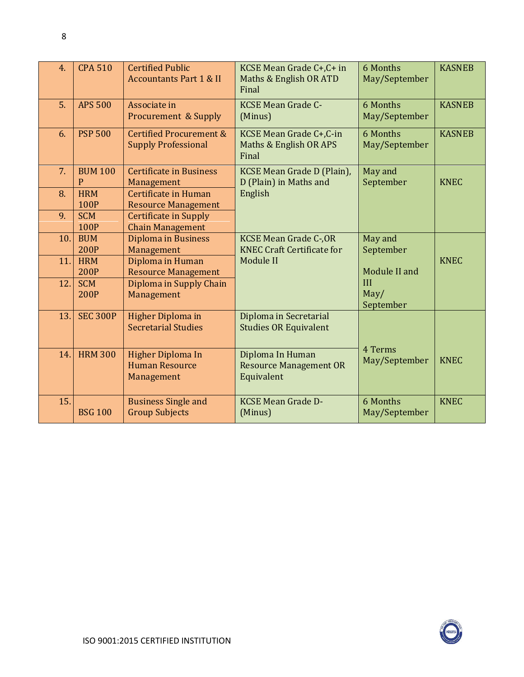| 4.  | <b>CPA 510</b>            | <b>Certified Public</b><br><b>Accountants Part 1 &amp; II</b>    | KCSE Mean Grade C+, C+ in<br>Maths & English OR ATD<br>Final       | 6 Months<br>May/September | <b>KASNEB</b> |
|-----|---------------------------|------------------------------------------------------------------|--------------------------------------------------------------------|---------------------------|---------------|
| 5.  | <b>APS 500</b>            | Associate in<br>Procurement & Supply                             | <b>KCSE Mean Grade C-</b><br>(Minus)                               | 6 Months<br>May/September | <b>KASNEB</b> |
| 6.  | <b>PSP 500</b>            | <b>Certified Procurement &amp;</b><br><b>Supply Professional</b> | KCSE Mean Grade C+, C-in<br>Maths & English OR APS<br>Final        | 6 Months<br>May/September | <b>KASNEB</b> |
| 7.  | <b>BUM 100</b><br>P       | <b>Certificate in Business</b><br>Management                     | KCSE Mean Grade D (Plain),<br>D (Plain) in Maths and               | May and<br>September      | <b>KNEC</b>   |
| 8.  | <b>HRM</b><br>100P        | Certificate in Human<br><b>Resource Management</b>               | English                                                            |                           |               |
| 9.  | <b>SCM</b><br>100P        | <b>Certificate in Supply</b><br><b>Chain Management</b>          |                                                                    |                           |               |
| 10. | <b>BUM</b><br><b>200P</b> | <b>Diploma in Business</b><br>Management                         | <b>KCSE Mean Grade C-, OR</b><br><b>KNEC Craft Certificate for</b> | May and<br>September      |               |
| 11. | <b>HRM</b><br><b>200P</b> | Diploma in Human<br><b>Resource Management</b>                   | Module II                                                          | Module II and             | <b>KNEC</b>   |
| 12. | <b>SCM</b><br><b>200P</b> | Diploma in Supply Chain<br>Management                            |                                                                    | III<br>May/<br>September  |               |
| 13. | <b>SEC 300P</b>           | <b>Higher Diploma in</b><br><b>Secretarial Studies</b>           | Diploma in Secretarial<br><b>Studies OR Equivalent</b>             |                           |               |
| 14. | <b>HRM 300</b>            | Higher Diploma In<br><b>Human Resource</b><br>Management         | Diploma In Human<br><b>Resource Management OR</b><br>Equivalent    | 4 Terms<br>May/September  | <b>KNEC</b>   |
| 15. | <b>BSG 100</b>            | <b>Business Single and</b><br><b>Group Subjects</b>              | <b>KCSE Mean Grade D-</b><br>(Minus)                               | 6 Months<br>May/September | <b>KNEC</b>   |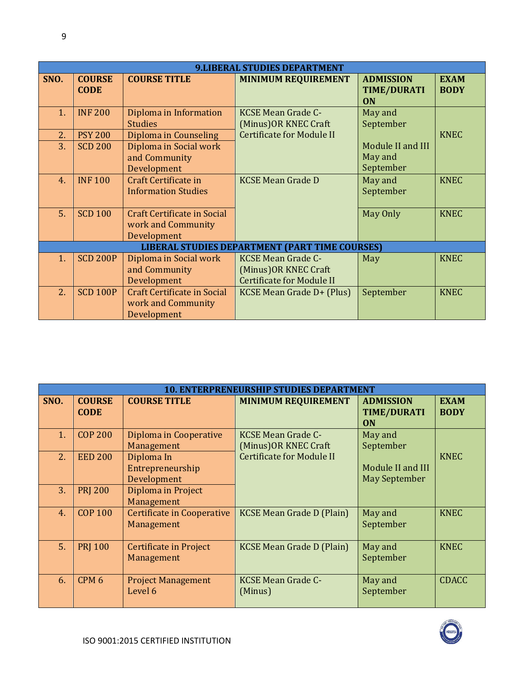|      | <b>9.LIBERAL STUDIES DEPARTMENT</b> |                                                                         |                                                                                        |                                                     |                            |  |
|------|-------------------------------------|-------------------------------------------------------------------------|----------------------------------------------------------------------------------------|-----------------------------------------------------|----------------------------|--|
| SNO. | <b>COURSE</b><br><b>CODE</b>        | <b>COURSE TITLE</b>                                                     | <b>MINIMUM REQUIREMENT</b>                                                             | <b>ADMISSION</b><br><b>TIME/DURATI</b><br><b>ON</b> | <b>EXAM</b><br><b>BODY</b> |  |
| 1.   | <b>INF 200</b>                      | Diploma in Information<br><b>Studies</b>                                | <b>KCSE Mean Grade C-</b><br>(Minus) OR KNEC Craft                                     | May and<br>September                                |                            |  |
| 2.   | <b>PSY 200</b>                      | Diploma in Counseling                                                   | <b>Certificate for Module II</b>                                                       |                                                     | <b>KNEC</b>                |  |
| 3.   | <b>SCD 200</b>                      | Diploma in Social work<br>and Community<br>Development                  |                                                                                        | Module II and III<br>May and<br>September           |                            |  |
| 4.   | <b>INF100</b>                       | Craft Certificate in<br><b>Information Studies</b>                      | <b>KCSE Mean Grade D</b>                                                               | May and<br>September                                | <b>KNEC</b>                |  |
| 5.   | <b>SCD 100</b>                      | Craft Certificate in Social<br>work and Community<br>Development        |                                                                                        | May Only                                            | <b>KNEC</b>                |  |
|      |                                     |                                                                         | <b>LIBERAL STUDIES DEPARTMENT (PART TIME COURSES)</b>                                  |                                                     |                            |  |
| 1.   | <b>SCD 200P</b>                     | Diploma in Social work<br>and Community<br>Development                  | <b>KCSE Mean Grade C-</b><br>(Minus) OR KNEC Craft<br><b>Certificate for Module II</b> | May                                                 | <b>KNEC</b>                |  |
| 2.   | <b>SCD 100P</b>                     | <b>Craft Certificate in Social</b><br>work and Community<br>Development | KCSE Mean Grade D+ (Plus)                                                              | September                                           | <b>KNEC</b>                |  |

|      | <b>10. ENTERPRENEURSHIP STUDIES DEPARTMENT</b> |                                               |                                                    |                                                     |                            |  |  |
|------|------------------------------------------------|-----------------------------------------------|----------------------------------------------------|-----------------------------------------------------|----------------------------|--|--|
| SNO. | <b>COURSE</b><br><b>CODE</b>                   | <b>COURSE TITLE</b>                           | <b>MINIMUM REQUIREMENT</b>                         | <b>ADMISSION</b><br><b>TIME/DURATI</b><br><b>ON</b> | <b>EXAM</b><br><b>BODY</b> |  |  |
| 1.   | <b>COP 200</b>                                 | Diploma in Cooperative<br>Management          | <b>KCSE Mean Grade C-</b><br>(Minus) OR KNEC Craft | May and<br>September                                |                            |  |  |
| 2.   | <b>EED 200</b>                                 | Diploma In<br>Entrepreneurship<br>Development | <b>Certificate for Module II</b>                   | Module II and III<br><b>May September</b>           | <b>KNEC</b>                |  |  |
| 3.   | <b>PRJ 200</b>                                 | Diploma in Project<br>Management              |                                                    |                                                     |                            |  |  |
| 4.   | <b>COP 100</b>                                 | Certificate in Cooperative<br>Management      | <b>KCSE Mean Grade D (Plain)</b>                   | May and<br>September                                | <b>KNEC</b>                |  |  |
| 5.   | <b>PRI 100</b>                                 | Certificate in Project<br>Management          | <b>KCSE Mean Grade D (Plain)</b>                   | May and<br>September                                | <b>KNEC</b>                |  |  |
| 6.   | CPM <sub>6</sub>                               | <b>Project Management</b><br>Level 6          | <b>KCSE Mean Grade C-</b><br>(Minus)               | May and<br>September                                | <b>CDACC</b>               |  |  |

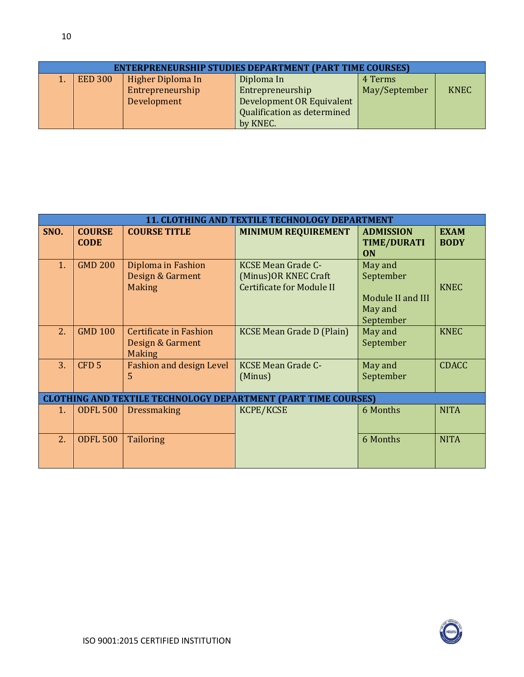| <b>ENTERPRENEURSHIP STUDIES DEPARTMENT (PART TIME COURSES)</b> |                |                   |                             |               |             |  |  |  |
|----------------------------------------------------------------|----------------|-------------------|-----------------------------|---------------|-------------|--|--|--|
|                                                                | <b>EED 300</b> | Higher Diploma In | Diploma In                  | 4 Terms       |             |  |  |  |
|                                                                |                | Entrepreneurship  | Entrepreneurship            | May/September | <b>KNEC</b> |  |  |  |
|                                                                |                | Development       | Development OR Equivalent   |               |             |  |  |  |
|                                                                |                |                   | Qualification as determined |               |             |  |  |  |
|                                                                |                |                   | by KNEC.                    |               |             |  |  |  |

| <b>11. CLOTHING AND TEXTILE TECHNOLOGY DEPARTMENT</b>                 |                              |                                                                    |                                                                                        |                                                                   |                            |  |  |  |  |
|-----------------------------------------------------------------------|------------------------------|--------------------------------------------------------------------|----------------------------------------------------------------------------------------|-------------------------------------------------------------------|----------------------------|--|--|--|--|
| SNO.                                                                  | <b>COURSE</b><br><b>CODE</b> | <b>COURSE TITLE</b>                                                | <b>MINIMUM REQUIREMENT</b>                                                             | <b>ADMISSION</b><br><b>TIME/DURATI</b><br><b>ON</b>               | <b>EXAM</b><br><b>BODY</b> |  |  |  |  |
| 1.                                                                    | <b>GMD 200</b>               | Diploma in Fashion<br>Design & Garment<br><b>Making</b>            | <b>KCSE Mean Grade C-</b><br>(Minus) OR KNEC Craft<br><b>Certificate for Module II</b> | May and<br>September<br>Module II and III<br>May and<br>September | <b>KNEC</b>                |  |  |  |  |
| 2.                                                                    | <b>GMD 100</b>               | <b>Certificate in Fashion</b><br>Design & Garment<br><b>Making</b> | <b>KCSE Mean Grade D (Plain)</b>                                                       | May and<br>September                                              | <b>KNEC</b>                |  |  |  |  |
| 3.                                                                    | CFD <sub>5</sub>             | <b>Fashion and design Level</b><br>5                               | <b>KCSE Mean Grade C-</b><br>(Minus)                                                   | May and<br>September                                              | <b>CDACC</b>               |  |  |  |  |
| <b>CLOTHING AND TEXTILE TECHNOLOGY DEPARTMENT (PART TIME COURSES)</b> |                              |                                                                    |                                                                                        |                                                                   |                            |  |  |  |  |
| 1.                                                                    | <b>ODFL 500</b>              | Dressmaking                                                        | KCPE/KCSE                                                                              | 6 Months                                                          | <b>NITA</b>                |  |  |  |  |
| 2.                                                                    | <b>ODFL 500</b>              | <b>Tailoring</b>                                                   |                                                                                        | 6 Months                                                          | <b>NITA</b>                |  |  |  |  |